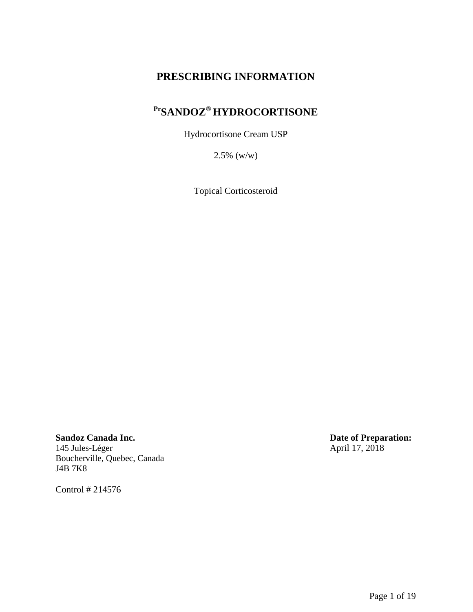# **PRESCRIBING INFORMATION**

# **PrSANDOZ® HYDROCORTISONE**

Hydrocortisone Cream USP

2.5% (w/w)

Topical Corticosteroid

**Sandoz Canada Inc.**

145 Jules-Léger Boucherville, Quebec, Canada J4B 7K8

Control # 214576

**Date of Preparation:** April 17, 2018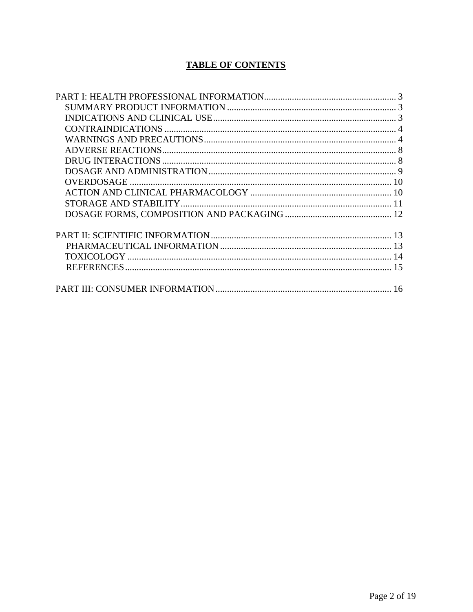# **TABLE OF CONTENTS**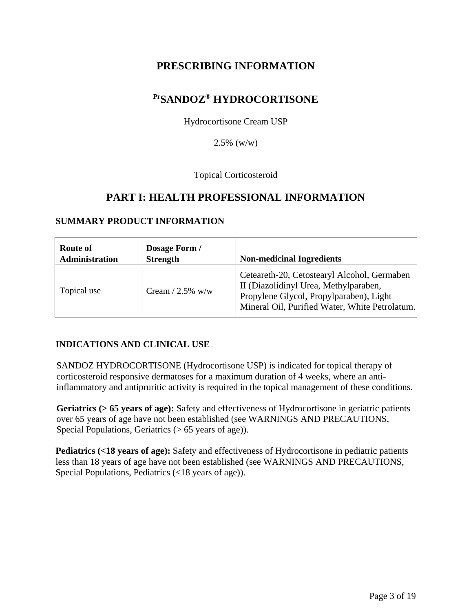# **PRESCRIBING INFORMATION**

# **PrSANDOZ® HYDROCORTISONE**

Hydrocortisone Cream USP

 $2.5\%$  (w/w)

# Topical Corticosteroid

# **PART I: HEALTH PROFESSIONAL INFORMATION**

# <span id="page-2-1"></span><span id="page-2-0"></span>**SUMMARY PRODUCT INFORMATION**

| <b>Route of</b><br>Administration | Dosage Form /<br><b>Strength</b> | <b>Non-medicinal Ingredients</b>                                                                                                                                                  |
|-----------------------------------|----------------------------------|-----------------------------------------------------------------------------------------------------------------------------------------------------------------------------------|
| Topical use                       | Cream $/ 2.5\%$ w/w              | Ceteareth-20, Cetostearyl Alcohol, Germaben<br>II (Diazolidinyl Urea, Methylparaben,<br>Propylene Glycol, Propylparaben), Light<br>Mineral Oil, Purified Water, White Petrolatum. |

# <span id="page-2-2"></span>**INDICATIONS AND CLINICAL USE**

SANDOZ HYDROCORTISONE (Hydrocortisone USP) is indicated for topical therapy of corticosteroid responsive dermatoses for a maximum duration of 4 weeks, where an antiinflammatory and antipruritic activity is required in the topical management of these conditions.

**Geriatrics (> 65 years of age):** Safety and effectiveness of Hydrocortisone in geriatric patients over 65 years of age have not been established (see WARNINGS AND PRECAUTIONS, Special Populations, Geriatrics  $(> 65$  years of age)).

**Pediatrics (<18 years of age):** Safety and effectiveness of Hydrocortisone in pediatric patients less than 18 years of age have not been established (see WARNINGS AND PRECAUTIONS, Special Populations, Pediatrics (<18 years of age)).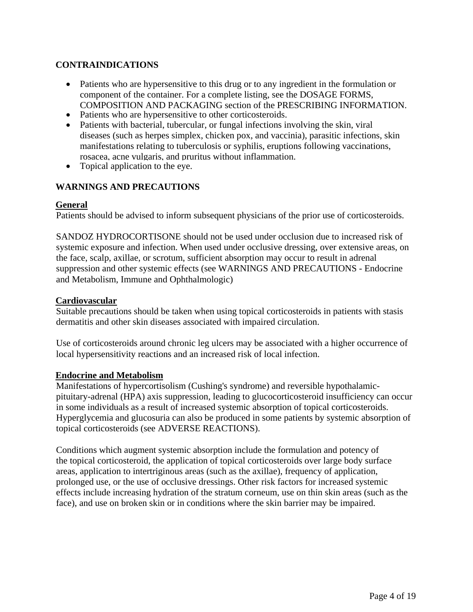# <span id="page-3-0"></span>**CONTRAINDICATIONS**

- Patients who are hypersensitive to this drug or to any ingredient in the formulation or component of the container. For a complete listing, see the DOSAGE FORMS, COMPOSITION AND PACKAGING section of the PRESCRIBING INFORMATION. • Patients who are hypersensitive to other corticosteroids.
- 
- Patients with bacterial, tubercular, or fungal infections involving the skin, viral diseases (such as herpes simplex, chicken pox, and vaccinia), parasitic infections, skin manifestations relating to tuberculosis or syphilis, eruptions following vaccinations, rosacea, acne vulgaris, and pruritus without inflammation. • Topical application to the eye.
- 

# <span id="page-3-1"></span>**WARNINGS AND PRECAUTIONS**

## **General**

Patients should be advised to inform subsequent physicians of the prior use of corticosteroids.

SANDOZ HYDROCORTISONE should not be used under occlusion due to increased risk of systemic exposure and infection. When used under occlusive dressing, over extensive areas, on the face, scalp, axillae, or scrotum, sufficient absorption may occur to result in adrenal suppression and other systemic effects (see WARNINGS AND PRECAUTIONS - Endocrine and Metabolism, Immune and Ophthalmologic)

## **Cardiovascular**

Suitable precautions should be taken when using topical corticosteroids in patients with stasis dermatitis and other skin diseases associated with impaired circulation.

Use of corticosteroids around chronic leg ulcers may be associated with a higher occurrence of local hypersensitivity reactions and an increased risk of local infection.

## **Endocrine and Metabolism**

Manifestations of hypercortisolism (Cushing's syndrome) and reversible hypothalamicpituitary-adrenal (HPA) axis suppression, leading to glucocorticosteroid insufficiency can occur in some individuals as a result of increased systemic absorption of topical corticosteroids. Hyperglycemia and glucosuria can also be produced in some patients by systemic absorption of topical corticosteroids (see ADVERSE REACTIONS).

Conditions which augment systemic absorption include the formulation and potency of the topical corticosteroid, the application of topical corticosteroids over large body surface areas, application to intertriginous areas (such as the axillae), frequency of application, prolonged use, or the use of occlusive dressings. Other risk factors for increased systemic effects include increasing hydration of the stratum corneum, use on thin skin areas (such as the face), and use on broken skin or in conditions where the skin barrier may be impaired.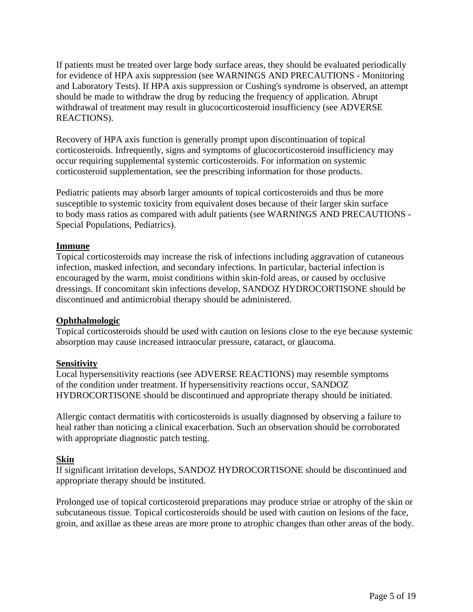If patients must be treated over large body surface areas, they should be evaluated periodically for evidence of HPA axis suppression (see WARNINGS AND PRECAUTIONS - Monitoring and Laboratory Tests). If HPA axis suppression or Cushing's syndrome is observed, an attempt should be made to withdraw the drug by reducing the frequency of application. Abrupt withdrawal of treatment may result in glucocorticosteroid insufficiency (see ADVERSE REACTIONS).

Recovery of HPA axis function is generally prompt upon discontinuation of topical corticosteroids. Infrequently, signs and symptoms of glucocorticosteroid insufficiency may occur requiring supplemental systemic corticosteroids. For information on systemic corticosteroid supplementation, see the prescribing information for those products.

Pediatric patients may absorb larger amounts of topical corticosteroids and thus be more susceptible to systemic toxicity from equivalent doses because of their larger skin surface to body mass ratios as compared with adult patients (see WARNINGS AND PRECAUTIONS - Special Populations, Pediatrics).

## **Immune**

Topical corticosteroids may increase the risk of infections including aggravation of cutaneous infection, masked infection, and secondary infections. In particular, bacterial infection is encouraged by the warm, moist conditions within skin-fold areas, or caused by occlusive dressings. If concomitant skin infections develop, SANDOZ HYDROCORTISONE should be discontinued and antimicrobial therapy should be administered.

### **Ophthalmologic**

Topical corticosteroids should be used with caution on lesions close to the eye because systemic absorption may cause increased intraocular pressure, cataract, or glaucoma.

## **Sensitivity**

Local hypersensitivity reactions (see ADVERSE REACTIONS) may resemble symptoms of the condition under treatment. If hypersensitivity reactions occur, SANDOZ HYDROCORTISONE should be discontinued and appropriate therapy should be initiated.

Allergic contact dermatitis with corticosteroids is usually diagnosed by observing a failure to heal rather than noticing a clinical exacerbation. Such an observation should be corroborated with appropriate diagnostic patch testing.

## **Skin**

If significant irritation develops, SANDOZ HYDROCORTISONE should be discontinued and appropriate therapy should be instituted.

Prolonged use of topical corticosteroid preparations may produce striae or atrophy of the skin or subcutaneous tissue. Topical corticosteroids should be used with caution on lesions of the face, groin, and axillae as these areas are more prone to atrophic changes than other areas of the body.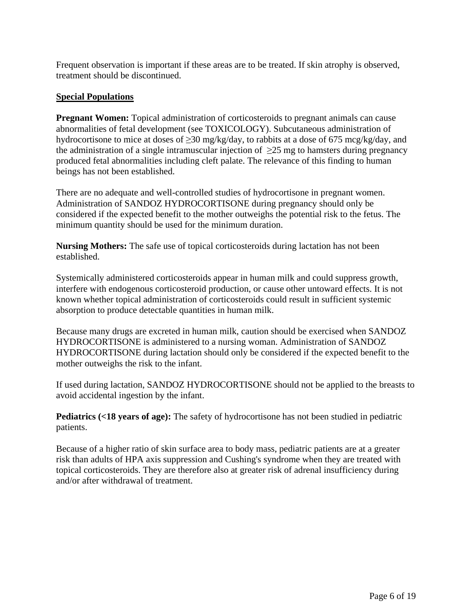Frequent observation is important if these areas are to be treated. If skin atrophy is observed, treatment should be discontinued.

# **Special Populations**

**Pregnant Women:** Topical administration of corticosteroids to pregnant animals can cause abnormalities of fetal development (see TOXICOLOGY). Subcutaneous administration of hydrocortisone to mice at doses of ≥30 mg/kg/day, to rabbits at a dose of 675 mcg/kg/day, and the administration of a single intramuscular injection of  $\geq$ 25 mg to hamsters during pregnancy produced fetal abnormalities including cleft palate. The relevance of this finding to human beings has not been established.

There are no adequate and well-controlled studies of hydrocortisone in pregnant women. Administration of SANDOZ HYDROCORTISONE during pregnancy should only be considered if the expected benefit to the mother outweighs the potential risk to the fetus. The minimum quantity should be used for the minimum duration.

**Nursing Mothers:** The safe use of topical corticosteroids during lactation has not been established.

Systemically administered corticosteroids appear in human milk and could suppress growth, interfere with endogenous corticosteroid production, or cause other untoward effects. It is not known whether topical administration of corticosteroids could result in sufficient systemic absorption to produce detectable quantities in human milk.

Because many drugs are excreted in human milk, caution should be exercised when SANDOZ HYDROCORTISONE is administered to a nursing woman. Administration of SANDOZ HYDROCORTISONE during lactation should only be considered if the expected benefit to the mother outweighs the risk to the infant.

If used during lactation, SANDOZ HYDROCORTISONE should not be applied to the breasts to avoid accidental ingestion by the infant.

**Pediatrics (<18 years of age):** The safety of hydrocortisone has not been studied in pediatric patients.

Because of a higher ratio of skin surface area to body mass, pediatric patients are at a greater risk than adults of HPA axis suppression and Cushing's syndrome when they are treated with topical corticosteroids. They are therefore also at greater risk of adrenal insufficiency during and/or after withdrawal of treatment.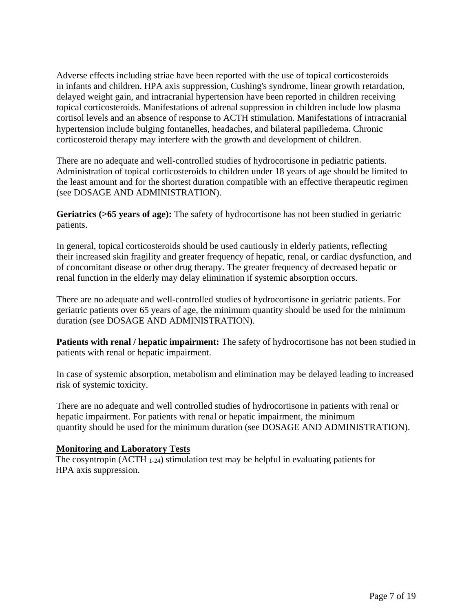Adverse effects including striae have been reported with the use of topical corticosteroids in infants and children. HPA axis suppression, Cushing's syndrome, linear growth retardation, delayed weight gain, and intracranial hypertension have been reported in children receiving topical corticosteroids. Manifestations of adrenal suppression in children include low plasma cortisol levels and an absence of response to ACTH stimulation. Manifestations of intracranial hypertension include bulging fontanelles, headaches, and bilateral papilledema. Chronic corticosteroid therapy may interfere with the growth and development of children.

There are no adequate and well-controlled studies of hydrocortisone in pediatric patients. Administration of topical corticosteroids to children under 18 years of age should be limited to the least amount and for the shortest duration compatible with an effective therapeutic regimen (see DOSAGE AND ADMINISTRATION).

**Geriatrics (>65 years of age):** The safety of hydrocortisone has not been studied in geriatric patients.

In general, topical corticosteroids should be used cautiously in elderly patients, reflecting their increased skin fragility and greater frequency of hepatic, renal, or cardiac dysfunction, and of concomitant disease or other drug therapy. The greater frequency of decreased hepatic or renal function in the elderly may delay elimination if systemic absorption occurs.

There are no adequate and well-controlled studies of hydrocortisone in geriatric patients. For geriatric patients over 65 years of age, the minimum quantity should be used for the minimum duration (see DOSAGE AND ADMINISTRATION).

**Patients with renal / hepatic impairment:** The safety of hydrocortisone has not been studied in patients with renal or hepatic impairment.

In case of systemic absorption, metabolism and elimination may be delayed leading to increased risk of systemic toxicity.

There are no adequate and well controlled studies of hydrocortisone in patients with renal or hepatic impairment. For patients with renal or hepatic impairment, the minimum quantity should be used for the minimum duration (see DOSAGE AND ADMINISTRATION).

## **Monitoring and Laboratory Tests**

The cosyntropin (ACTH 1-24) stimulation test may be helpful in evaluating patients for HPA axis suppression.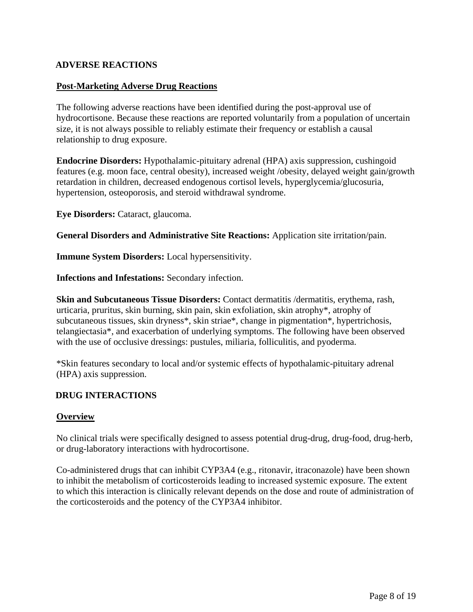# <span id="page-7-0"></span>**ADVERSE REACTIONS**

# **Post-Marketing Adverse Drug Reactions**

The following adverse reactions have been identified during the post-approval use of hydrocortisone. Because these reactions are reported voluntarily from a population of uncertain size, it is not always possible to reliably estimate their frequency or establish a causal relationship to drug exposure.

**Endocrine Disorders:** Hypothalamic-pituitary adrenal (HPA) axis suppression, cushingoid features (e.g. moon face, central obesity), increased weight /obesity, delayed weight gain/growth retardation in children, decreased endogenous cortisol levels, hyperglycemia/glucosuria, hypertension, osteoporosis, and steroid withdrawal syndrome.

**Eye Disorders:** Cataract, glaucoma.

**General Disorders and Administrative Site Reactions:** Application site irritation/pain.

**Immune System Disorders:** Local hypersensitivity.

**Infections and Infestations:** Secondary infection.

**Skin and Subcutaneous Tissue Disorders:** Contact dermatitis /dermatitis, erythema, rash, urticaria, pruritus, skin burning, skin pain, skin exfoliation, skin atrophy\*, atrophy of subcutaneous tissues, skin dryness\*, skin striae\*, change in pigmentation\*, hypertrichosis, telangiectasia\*, and exacerbation of underlying symptoms. The following have been observed with the use of occlusive dressings: pustules, miliaria, folliculitis, and pyoderma.

\*Skin features secondary to local and/or systemic effects of hypothalamic-pituitary adrenal (HPA) axis suppression.

## <span id="page-7-1"></span>**DRUG INTERACTIONS**

## **Overview**

No clinical trials were specifically designed to assess potential drug-drug, drug-food, drug-herb, or drug-laboratory interactions with hydrocortisone.

Co-administered drugs that can inhibit CYP3A4 (e.g., ritonavir, itraconazole) have been shown to inhibit the metabolism of corticosteroids leading to increased systemic exposure. The extent to which this interaction is clinically relevant depends on the dose and route of administration of the corticosteroids and the potency of the CYP3A4 inhibitor.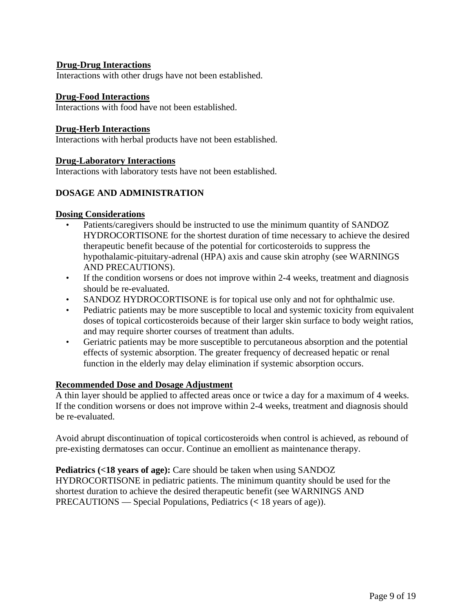## **Drug-Drug Interactions**

Interactions with other drugs have not been established.

## **Drug-Food Interactions**

Interactions with food have not been established.

## **Drug-Herb Interactions**

Interactions with herbal products have not been established.

## **Drug-Laboratory Interactions**

Interactions with laboratory tests have not been established.

# <span id="page-8-0"></span>**DOSAGE AND ADMINISTRATION**

## **Dosing Considerations**

- Patients/caregivers should be instructed to use the minimum quantity of SANDOZ HYDROCORTISONE for the shortest duration of time necessary to achieve the desired therapeutic benefit because of the potential for corticosteroids to suppress the hypothalamic-pituitary-adrenal (HPA) axis and cause skin atrophy (see WARNINGS AND PRECAUTIONS).
- If the condition worsens or does not improve within 2-4 weeks, treatment and diagnosis should be re-evaluated.
- SANDOZ HYDROCORTISONE is for topical use only and not for ophthalmic use.
- Pediatric patients may be more susceptible to local and systemic toxicity from equivalent doses of topical corticosteroids because of their larger skin surface to body weight ratios, and may require shorter courses of treatment than adults.
- Geriatric patients may be more susceptible to percutaneous absorption and the potential effects of systemic absorption. The greater frequency of decreased hepatic or renal function in the elderly may delay elimination if systemic absorption occurs.

## **Recommended Dose and Dosage Adjustment**

A thin layer should be applied to affected areas once or twice a day for a maximum of 4 weeks. If the condition worsens or does not improve within 2-4 weeks, treatment and diagnosis should be re-evaluated.

Avoid abrupt discontinuation of topical corticosteroids when control is achieved, as rebound of pre-existing dermatoses can occur. Continue an emollient as maintenance therapy.

# **Pediatrics (<18 years of age):** Care should be taken when using SANDOZ HYDROCORTISONE in pediatric patients. The minimum quantity should be used for the shortest duration to achieve the desired therapeutic benefit (see WARNINGS AND PRECAUTIONS — Special Populations, Pediatrics (**<** 18 years of age)).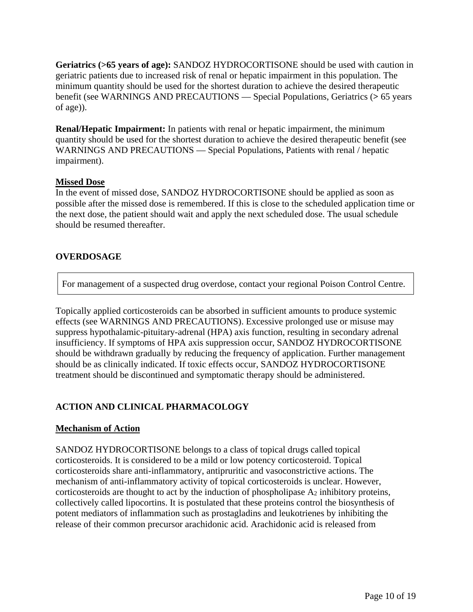**Geriatrics (>65 years of age):** SANDOZ HYDROCORTISONE should be used with caution in geriatric patients due to increased risk of renal or hepatic impairment in this population. The minimum quantity should be used for the shortest duration to achieve the desired therapeutic benefit (see WARNINGS AND PRECAUTIONS — Special Populations, Geriatrics (**>** 65 years of age)).

**Renal/Hepatic Impairment:** In patients with renal or hepatic impairment, the minimum quantity should be used for the shortest duration to achieve the desired therapeutic benefit (see WARNINGS AND PRECAUTIONS — Special Populations, Patients with renal / hepatic impairment).

## **Missed Dose**

In the event of missed dose, SANDOZ HYDROCORTISONE should be applied as soon as possible after the missed dose is remembered. If this is close to the scheduled application time or the next dose, the patient should wait and apply the next scheduled dose. The usual schedule should be resumed thereafter.

## <span id="page-9-0"></span>**OVERDOSAGE**

For management of a suspected drug overdose, contact your regional Poison Control Centre.

Topically applied corticosteroids can be absorbed in sufficient amounts to produce systemic effects (see WARNINGS AND PRECAUTIONS). Excessive prolonged use or misuse may suppress hypothalamic-pituitary-adrenal (HPA) axis function, resulting in secondary adrenal insufficiency. If symptoms of HPA axis suppression occur, SANDOZ HYDROCORTISONE should be withdrawn gradually by reducing the frequency of application. Further management should be as clinically indicated. If toxic effects occur, SANDOZ HYDROCORTISONE treatment should be discontinued and symptomatic therapy should be administered.

# <span id="page-9-1"></span>**ACTION AND CLINICAL PHARMACOLOGY**

### **Mechanism of Action**

SANDOZ HYDROCORTISONE belongs to a class of topical drugs called topical corticosteroids. It is considered to be a mild or low potency corticosteroid. Topical corticosteroids share anti-inflammatory, antipruritic and vasoconstrictive actions. The mechanism of anti-inflammatory activity of topical corticosteroids is unclear. However, corticosteroids are thought to act by the induction of phospholipase A2 inhibitory proteins, collectively called lipocortins. It is postulated that these proteins control the biosynthesis of potent mediators of inflammation such as prostagladins and leukotrienes by inhibiting the release of their common precursor arachidonic acid. Arachidonic acid is released from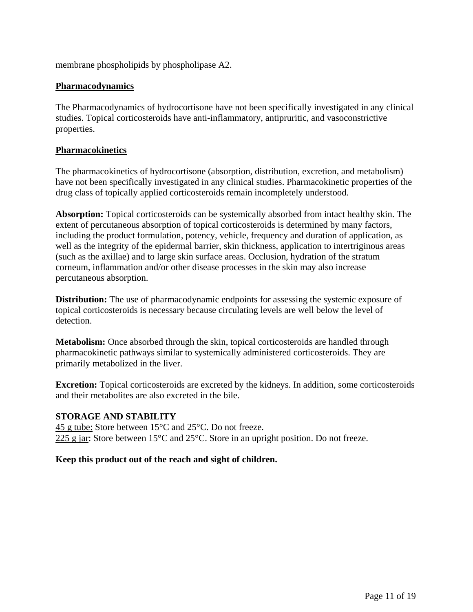membrane phospholipids by phospholipase A2.

## **Pharmacodynamics**

The Pharmacodynamics of hydrocortisone have not been specifically investigated in any clinical studies. Topical corticosteroids have anti-inflammatory, antipruritic, and vasoconstrictive properties.

# **Pharmacokinetics**

The pharmacokinetics of hydrocortisone (absorption, distribution, excretion, and metabolism) have not been specifically investigated in any clinical studies. Pharmacokinetic properties of the drug class of topically applied corticosteroids remain incompletely understood.

**Absorption:** Topical corticosteroids can be systemically absorbed from intact healthy skin. The extent of percutaneous absorption of topical corticosteroids is determined by many factors, including the product formulation, potency, vehicle, frequency and duration of application, as well as the integrity of the epidermal barrier, skin thickness, application to intertriginous areas (such as the axillae) and to large skin surface areas. Occlusion, hydration of the stratum corneum, inflammation and/or other disease processes in the skin may also increase percutaneous absorption.

**Distribution:** The use of pharmacodynamic endpoints for assessing the systemic exposure of topical corticosteroids is necessary because circulating levels are well below the level of detection.

**Metabolism:** Once absorbed through the skin, topical corticosteroids are handled through pharmacokinetic pathways similar to systemically administered corticosteroids. They are primarily metabolized in the liver.

**Excretion:** Topical corticosteroids are excreted by the kidneys. In addition, some corticosteroids and their metabolites are also excreted in the bile.

# <span id="page-10-0"></span>**STORAGE AND STABILITY**

45 g tube: Store between 15°C and 25°C. Do not freeze. 225 g jar: Store between 15°C and 25°C. Store in an upright position. Do not freeze.

## <span id="page-10-1"></span>**Keep this product out of the reach and sight of children.**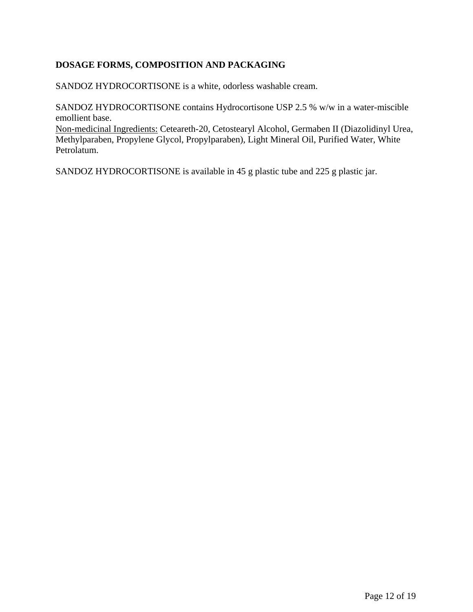# **DOSAGE FORMS, COMPOSITION AND PACKAGING**

SANDOZ HYDROCORTISONE is a white, odorless washable cream.

SANDOZ HYDROCORTISONE contains Hydrocortisone USP 2.5 % w/w in a water-miscible emollient base.

Non-medicinal Ingredients: Ceteareth-20, Cetostearyl Alcohol, Germaben II (Diazolidinyl Urea, Methylparaben, Propylene Glycol, Propylparaben), Light Mineral Oil, Purified Water, White Petrolatum.

SANDOZ HYDROCORTISONE is available in 45 g plastic tube and 225 g plastic jar.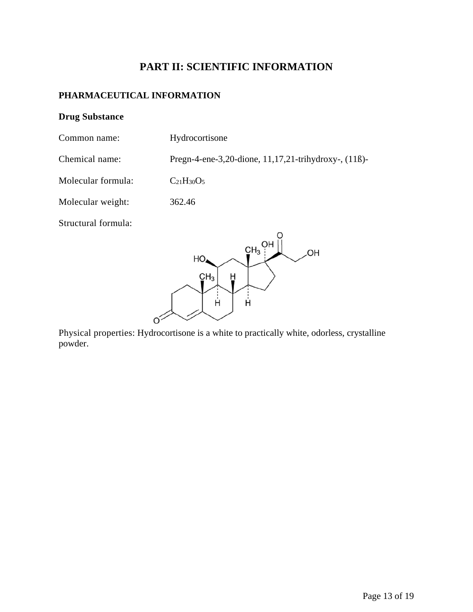# **PART II: SCIENTIFIC INFORMATION**

# <span id="page-12-1"></span><span id="page-12-0"></span>**PHARMACEUTICAL INFORMATION**

# **Drug Substance**

- Common name: Hydrocortisone
- 

Chemical name: Pregn-4-ene-3,20-dione, 11,17,21-trihydroxy-, (11ß)-

Molecular formula:  $C_{21}H_{30}O_5$ 

Molecular weight: 362.46

Structural formula:



Physical properties: Hydrocortisone is a white to practically white, odorless, crystalline powder.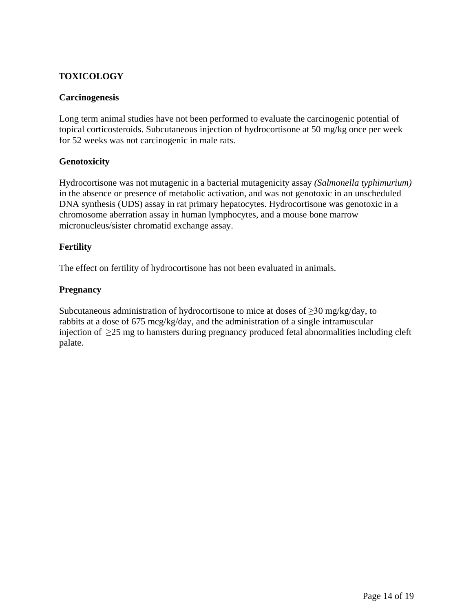# <span id="page-13-0"></span>**TOXICOLOGY**

# **Carcinogenesis**

Long term animal studies have not been performed to evaluate the carcinogenic potential of topical corticosteroids. Subcutaneous injection of hydrocortisone at 50 mg/kg once per week for 52 weeks was not carcinogenic in male rats.

# **Genotoxicity**

Hydrocortisone was not mutagenic in a bacterial mutagenicity assay *(Salmonella typhimurium)* in the absence or presence of metabolic activation, and was not genotoxic in an unscheduled DNA synthesis (UDS) assay in rat primary hepatocytes. Hydrocortisone was genotoxic in a chromosome aberration assay in human lymphocytes, and a mouse bone marrow micronucleus/sister chromatid exchange assay.

# **Fertility**

The effect on fertility of hydrocortisone has not been evaluated in animals.

# **Pregnancy**

Subcutaneous administration of hydrocortisone to mice at doses of  $\geq$ 30 mg/kg/day, to rabbits at a dose of 675 mcg/kg/day, and the administration of a single intramuscular injection of ≥25 mg to hamsters during pregnancy produced fetal abnormalities including cleft palate.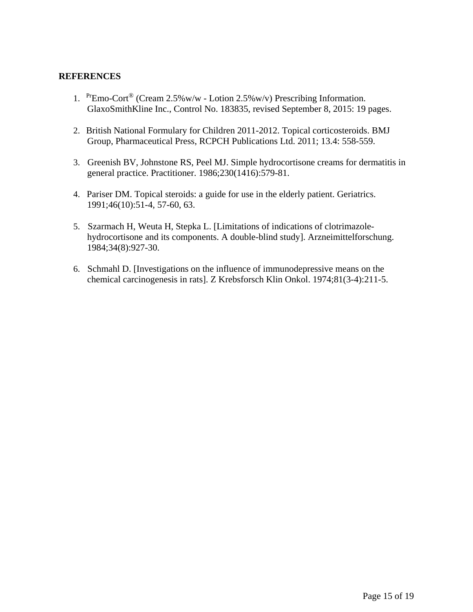# <span id="page-14-0"></span>**REFERENCES**

- 1. PrEmo-Cort<sup>®</sup> (Cream 2.5%w/w Lotion 2.5%w/v) Prescribing Information. GlaxoSmithKline Inc., Control No. 183835, revised September 8, 2015: 19 pages.
- 2. British National Formulary for Children 2011-2012. Topical corticosteroids. BMJ Group, Pharmaceutical Press, RCPCH Publications Ltd. 2011; 13.4: 558-559.
- 3. Greenish BV, Johnstone RS, Peel MJ. Simple hydrocortisone creams for dermatitis in general practice. Practitioner. 1986;230(1416):579-81.
- 4. Pariser DM. Topical steroids: a guide for use in the elderly patient. Geriatrics. 1991;46(10):51-4, 57-60, 63.
- 5. Szarmach H, Weuta H, Stepka L. [Limitations of indications of clotrimazolehydrocortisone and its components. A double-blind study]. Arzneimittelforschung. 1984;34(8):927-30.
- 6. Schmahl D. [Investigations on the influence of immunodepressive means on the chemical carcinogenesis in rats]. Z Krebsforsch Klin Onkol. 1974;81(3-4):211-5.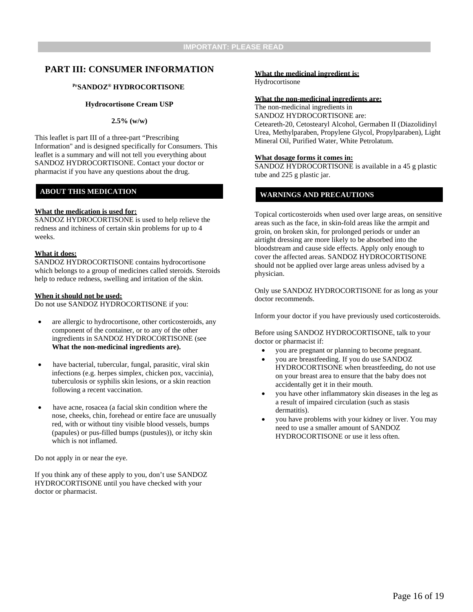## <span id="page-15-0"></span>**PART III: CONSUMER INFORMATION**

### **PrSANDOZ® HYDROCORTISONE**

### **Hydrocortisone Cream USP**

### **2.5% (w/w)**

This leaflet is part III of a three-part "Prescribing Information" and is designed specifically for Consumers. This leaflet is a summary and will not tell you everything about SANDOZ HYDROCORTISONE. Contact your doctor or pharmacist if you have any questions about the drug.

### **ABOUT THIS MEDICATION**

### **What the medication is used for:**

SANDOZ HYDROCORTISONE is used to help relieve the redness and itchiness of certain skin problems for up to 4 weeks.

### **What it does:**

SANDOZ HYDROCORTISONE contains hydrocortisone which belongs to a group of medicines called steroids. Steroids help to reduce redness, swelling and irritation of the skin.

### **When it should not be used:**

Do not use SANDOZ HYDROCORTISONE if you:

- are allergic to hydrocortisone, other corticosteroids, any component of the container, or to any of the other ingredients in SANDOZ HYDROCORTISONE (see **What the non-medicinal ingredients are).**
- have bacterial, tubercular, fungal, parasitic, viral skin infections (e.g. herpes simplex, chicken pox, vaccinia), tuberculosis or syphilis skin lesions, or a skin reaction following a recent vaccination.
- have acne, rosacea (a facial skin condition where the nose, cheeks, chin, forehead or entire face are unusually red, with or without tiny visible blood vessels, bumps (papules) or pus-filled bumps (pustules)), or itchy skin which is not inflamed.

Do not apply in or near the eye.

If you think any of these apply to you, don't use SANDOZ HYDROCORTISONE until you have checked with your doctor or pharmacist.

### **What the medicinal ingredient is:**

Hydrocortisone

### **What the non-medicinal ingredients are:**

The non-medicinal ingredients in SANDOZ HYDROCORTISONE are: Ceteareth-20, Cetostearyl Alcohol, Germaben II (Diazolidinyl Urea, Methylparaben, Propylene Glycol, Propylparaben), Light Mineral Oil, Purified Water, White Petrolatum.

### **What dosage forms it comes in:**

SANDOZ HYDROCORTISONE is available in a 45 g plastic tube and 225 g plastic jar.

### **WARNINGS AND PRECAUTIONS**

Topical corticosteroids when used over large areas, on sensitive areas such as the face, in skin-fold areas like the armpit and groin, on broken skin, for prolonged periods or under an airtight dressing are more likely to be absorbed into the bloodstream and cause side effects. Apply only enough to cover the affected areas. SANDOZ HYDROCORTISONE should not be applied over large areas unless advised by a physician.

Only use SANDOZ HYDROCORTISONE for as long as your doctor recommends.

Inform your doctor if you have previously used corticosteroids.

Before using SANDOZ HYDROCORTISONE, talk to your doctor or pharmacist if:

- you are pregnant or planning to become pregnant.
- vou are breastfeeding. If you do use SANDOZ HYDROCORTISONE when breastfeeding, do not use on your breast area to ensure that the baby does not accidentally get it in their mouth.
- you have other inflammatory skin diseases in the leg as a result of impaired circulation (such as stasis dermatitis).
- you have problems with your kidney or liver. You may need to use a smaller amount of SANDOZ HYDROCORTISONE or use it less often.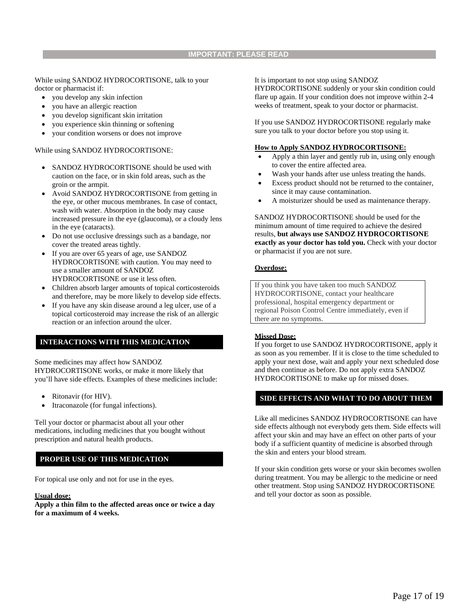While using SANDOZ HYDROCORTISONE, talk to your doctor or pharmacist if:

- you develop any skin infection
- you have an allergic reaction
- you develop significant skin irritation
- you experience skin thinning or softening
- your condition worsens or does not improve

While using SANDOZ HYDROCORTISONE:

- SANDOZ HYDROCORTISONE should be used with caution on the face, or in skin fold areas, such as the groin or the armpit.
- Avoid SANDOZ HYDROCORTISONE from getting in the eye, or other mucous membranes. In case of contact, wash with water. Absorption in the body may cause increased pressure in the eye (glaucoma), or a cloudy lens in the eye (cataracts).
- Do not use occlusive dressings such as a bandage, nor cover the treated areas tightly.
- If you are over 65 years of age, use SANDOZ HYDROCORTISONE with caution. You may need to use a smaller amount of SANDOZ HYDROCORTISONE or use it less often.
- Children absorb larger amounts of topical corticosteroids and therefore, may be more likely to develop side effects.
- If you have any skin disease around a leg ulcer, use of a topical corticosteroid may increase the risk of an allergic reaction or an infection around the ulcer.

### **INTERACTIONS WITH THIS MEDICATION**

Some medicines may affect how SANDOZ HYDROCORTISONE works, or make it more likely that you'll have side effects. Examples of these medicines include:

- Ritonavir (for HIV).
- Itraconazole (for fungal infections).

Tell your doctor or pharmacist about all your other medications, including medicines that you bought without prescription and natural health products.

### **PROPER USE OF THIS MEDICATION**

For topical use only and not for use in the eyes.

### **Usual dose:**

**Apply a thin film to the affected areas once or twice a day for a maximum of 4 weeks.**

It is important to not stop using SANDOZ

HYDROCORTISONE suddenly or your skin condition could flare up again. If your condition does not improve within 2-4 weeks of treatment, speak to your doctor or pharmacist.

If you use SANDOZ HYDROCORTISONE regularly make sure you talk to your doctor before you stop using it.

#### **How to Apply SANDOZ HYDROCORTISONE:**

- Apply a thin layer and gently rub in, using only enough to cover the entire affected area.
- Wash your hands after use unless treating the hands.
- Excess product should not be returned to the container, since it may cause contamination.
- A moisturizer should be used as maintenance therapy.

SANDOZ HYDROCORTISONE should be used for the minimum amount of time required to achieve the desired results, **but always use SANDOZ HYDROCORTISONE exactly as your doctor has told you.** Check with your doctor or pharmacist if you are not sure.

### **Overdose:**

If you think you have taken too much SANDOZ HYDROCORTISONE, contact your healthcare professional, hospital emergency department or regional Poison Control Centre immediately, even if there are no symptoms.

### **Missed Dose:**

If you forget to use SANDOZ HYDROCORTISONE, apply it as soon as you remember. If it is close to the time scheduled to apply your next dose, wait and apply your next scheduled dose and then continue as before. Do not apply extra SANDOZ HYDROCORTISONE to make up for missed doses.

### **SIDE EFFECTS AND WHAT TO DO ABOUT THEM**

Like all medicines SANDOZ HYDROCORTISONE can have side effects although not everybody gets them. Side effects will affect your skin and may have an effect on other parts of your body if a sufficient quantity of medicine is absorbed through the skin and enters your blood stream.

If your skin condition gets worse or your skin becomes swollen during treatment. You may be allergic to the medicine or need other treatment. Stop using SANDOZ HYDROCORTISONE and tell your doctor as soon as possible.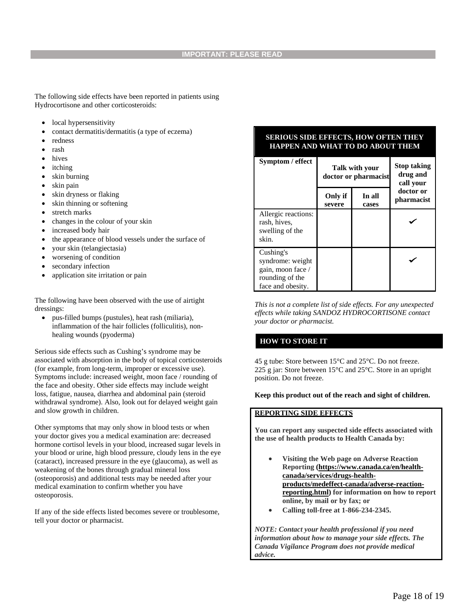The following side effects have been reported in patients using Hydrocortisone and other corticosteroids:

- local hypersensitivity
- contact dermatitis/dermatitis (a type of eczema)
- redness
- rash
- hives
- *itching*
- skin burning
- skin pain
- skin dryness or flaking
- skin thinning or softening
- stretch marks
- changes in the colour of your skin
- increased body hair
- the appearance of blood vessels under the surface of
- your skin (telangiectasia)
- worsening of condition
- secondary infection
- application site irritation or pain

The following have been observed with the use of airtight dressings:

• pus-filled bumps (pustules), heat rash (miliaria), inflammation of the hair follicles (folliculitis), nonhealing wounds (pyoderma)

Serious side effects such as Cushing's syndrome may be associated with absorption in the body of topical corticosteroids (for example, from long-term, improper or excessive use). Symptoms include: increased weight, moon face / rounding of the face and obesity. Other side effects may include weight loss, fatigue, nausea, diarrhea and abdominal pain (steroid withdrawal syndrome). Also, look out for delayed weight gain and slow growth in children.

Other symptoms that may only show in blood tests or when your doctor gives you a medical examination are: decreased hormone cortisol levels in your blood, increased sugar levels in your blood or urine, high blood pressure, cloudy lens in the eye (cataract), increased pressure in the eye (glaucoma), as well as weakening of the bones through gradual mineral loss (osteoporosis) and additional tests may be needed after your medical examination to confirm whether you have osteoporosis.

If any of the side effects listed becomes severe or troublesome, tell your doctor or pharmacist.

### **SERIOUS SIDE EFFECTS, HOW OFTEN THEY HAPPEN AND WHAT TO DO ABOUT THEM**

| Symptom / effect                                                                           | Talk with your<br>doctor or pharmacist |                 | <b>Stop taking</b><br>drug and<br>call your |
|--------------------------------------------------------------------------------------------|----------------------------------------|-----------------|---------------------------------------------|
|                                                                                            | Only if<br>severe                      | In all<br>cases | doctor or<br>pharmacist                     |
| Allergic reactions:<br>rash, hives,<br>swelling of the<br>skin.                            |                                        |                 |                                             |
| Cushing's<br>syndrome: weight<br>gain, moon face /<br>rounding of the<br>face and obesity. |                                        |                 |                                             |

*This is not a complete list of side effects. For any unexpected effects while taking SANDOZ HYDROCORTISONE contact your doctor or pharmacist.*

### **HOW TO STORE IT**

45 g tube: Store between 15°C and 25°C. Do not freeze. 225 g jar: Store between 15°C and 25°C. Store in an upright position. Do not freeze.

#### **Keep this product out of the reach and sight of children.**

### **REPORTING SIDE EFFECTS**

**You can report any suspected side effects associated with the use of health products to Health Canada by:**

- **Visiting the Web page on Adverse Reaction Reporting [\(https://www.canada.ca/en/health](https://www.canada.ca/en/health-canada/services/drugs-health-products/medeffect-canada/adverse-reaction-reporting.html)[canada/services/drugs-health](https://www.canada.ca/en/health-canada/services/drugs-health-products/medeffect-canada/adverse-reaction-reporting.html)[products/medeffect-canada/adverse-reaction](https://www.canada.ca/en/health-canada/services/drugs-health-products/medeffect-canada/adverse-reaction-reporting.html)[reporting.html\)](https://www.canada.ca/en/health-canada/services/drugs-health-products/medeffect-canada/adverse-reaction-reporting.html) for information on how to report online, by mail or by fax; or**
- **Calling toll-free at 1-866-234-2345.**

*NOTE: Contact your health professional if you need information about how to manage your side effects. The Canada Vigilance Program does not provide medical advice.*